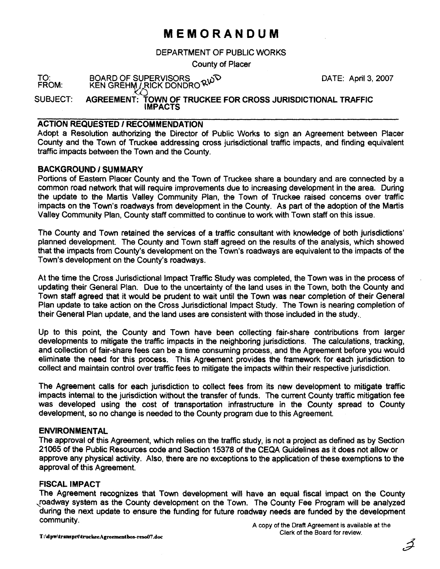## **MEMORANDUM**

DEPARTMENT OF PUBLIC WORKS

County of Placer

TO: BOARD OF SUPERVISORS<br>FROM: KEN GREHM / RICK DONDRO<sup>Q W</sup><br>SUBJECT: AGREEMENT: TOWN OF TRUCKEE FOR CROSS JURISDICTIONAL TRAFFIC IMPACTS

#### ACTION REQUESTED I RECOMMENDATION

Adopt a Resolution authorizing the Director of Public Works to sign an Agreement between Placer County and the Town of Truckee addressing cross jurisdictional traffic impacts, and finding equivalent traffic impacts between the Town and the County.

### BACKGROUND / SUMMARY

Portions of Eastern Placer County and the Town of Truckee share a boundary and are connected by a common road network that will require improvements due to increasing development in the area. During the update to the Martis Valley Community Plan, the Town of Tmckee raised concerns over traffic impacts on the Town's roadways from development in the County. As part of the adoption of the Martis Valley Community Plan, County staff committed to continue to work with Town staff on this issue.

The County and Town retained the services of a traffic consultant with knowledge of both jurisdictions' planned development. The County and Town staff agreed on the results of the analysis, which showed that the impacts from County's development on the Town's roadways are equivalent to the impacts of the Town's development on the County's roadways.

At the time the Cross Jurisdictional Impact Traffic Study was completed, the Town was in the process of updating their General Plan. Due to the uncertainty of the land uses in the Town, both the County and Town staff agreed that it would be prudent to wait until the Town was near completion of their General Plan update to take action on the Cross Jurisdictional lmpact Study. The Town is nearing completion of their General Plan update, and the land uses are consistent with those included in the study..

Up to this point, the County and Town have been collecting fair-share contributions from larger developments to mitigate the traffic impacts in the neighboring jurisdictions. The calculations, tracking, and collection of fair-share fees can be a time consuming process, and the Agreement before you would eliminate the need for this process. This Agreement provides the framework for each jurisdiction to collect and maintain control over traffic fees to mitigate the impacts within their respective jurisdiction.

The Agreement calls for each jurisdiction to collect fees from its new development to mitigate traffic impacts internal to the jurisdiction without the transfer of funds. The current County traffic mitigation fee was developed using the cost of transportation infrastructure in the County spread to County development, so no change is needed to the County program due to this Agreement.

#### ENVIRONMENTAL

The approval of this Agreement, which relies on the traffic study, is not a project as defined as by Section 21065 of the Public Resources code and Section 15378 of the CEQA Guidelines as it does not allow or approve any physical activity. Also, there are no exceptions to the application of these exemptions to the approval of this Agreement.

#### FISCAL IMPACT

The Agreement recognizes that Town development will have an equal fiscal impact on the County ,roadway system as the County development on the Town. The County Fee Program will be analyzed during the next update to ensure the funding for future roadway needs are funded by the development community. **A copy of the Draft Agreement is available at the**